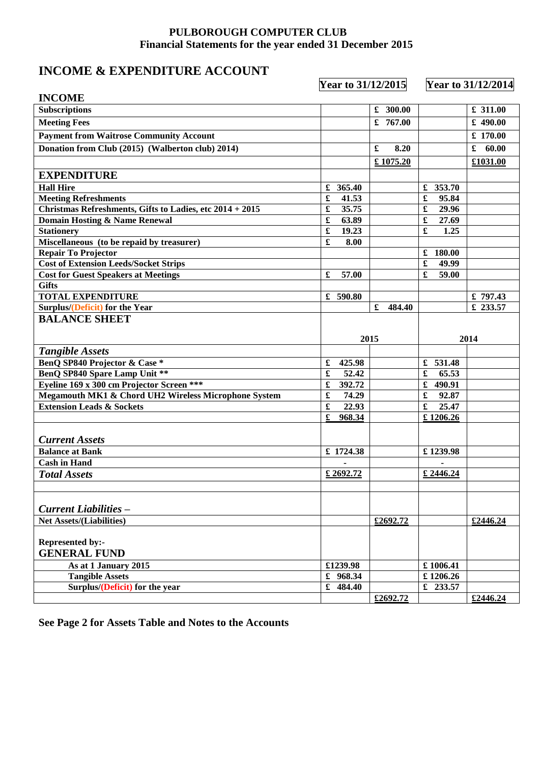## **PULBOROUGH COMPUTER CLUB Financial Statements for the year ended 31 December 2015**

## **INCOME & EXPENDITURE ACCOUNT**

 **Year to 31/12/2015 Year to 31/12/2014**

| <b>INCOME</b>                                            |                               |             |                               |            |  |
|----------------------------------------------------------|-------------------------------|-------------|-------------------------------|------------|--|
| <b>Subscriptions</b>                                     |                               | £ 300.00    |                               | ₤ 311.00   |  |
| <b>Meeting Fees</b>                                      |                               | £ $767.00$  |                               | $£$ 490.00 |  |
| <b>Payment from Waitrose Community Account</b>           |                               |             |                               | £ 170.00   |  |
| Donation from Club (2015) (Walberton club) 2014)         |                               | £<br>8.20   |                               | £<br>60.00 |  |
|                                                          |                               | £1075.20    |                               | £1031.00   |  |
| <b>EXPENDITURE</b>                                       |                               |             |                               |            |  |
| <b>Hall Hire</b>                                         | £ 365.40                      |             | £ 353.70                      |            |  |
| <b>Meeting Refreshments</b>                              | £<br>41.53                    |             | 95.84<br>£                    |            |  |
| Christmas Refreshments, Gifts to Ladies, etc 2014 + 2015 | £<br>35.75                    |             | $\pmb{\mathfrak{L}}$<br>29.96 |            |  |
| Domain Hosting & Name Renewal                            | £<br>63.89                    |             | 27.69                         |            |  |
| <b>Stationery</b>                                        | £<br>19.23                    |             | £<br>1.25                     |            |  |
| Miscellaneous (to be repaid by treasurer)                | £<br>8.00                     |             |                               |            |  |
| <b>Repair To Projector</b>                               |                               |             | £ 180.00                      |            |  |
| <b>Cost of Extension Leeds/Socket Strips</b>             |                               |             | $\pmb{\mathfrak{L}}$<br>49.99 |            |  |
| <b>Cost for Guest Speakers at Meetings</b>               | £<br>57.00                    |             | £<br>59.00                    |            |  |
| <b>Gifts</b>                                             |                               |             |                               |            |  |
| <b>TOTAL EXPENDITURE</b>                                 | £ $590.80$                    |             |                               | £797.43    |  |
| Surplus/(Deficit) for the Year                           |                               | £<br>484.40 |                               | £ 233.57   |  |
|                                                          |                               |             |                               |            |  |
| <b>BALANCE SHEET</b>                                     |                               |             |                               |            |  |
|                                                          |                               | 2015        |                               | 2014       |  |
| <b>Tangible Assets</b>                                   |                               |             |                               |            |  |
| BenQ SP840 Projector & Case *                            | £<br>425.98                   |             | £ $531.48$                    |            |  |
| <b>BenQ SP840 Spare Lamp Unit **</b>                     | £<br>52.42                    |             | £<br>65.53                    |            |  |
| Eyeline 169 x 300 cm Projector Screen ***                | £<br>392.72                   |             | £<br>490.91                   |            |  |
| Megamouth MK1 & Chord UH2 Wireless Microphone System     | $\pmb{\mathfrak{L}}$<br>74.29 |             | $\pmb{\mathfrak{L}}$<br>92.87 |            |  |
| <b>Extension Leads &amp; Sockets</b>                     | £<br>22.93                    |             | £<br>25.47                    |            |  |
|                                                          | £<br>968.34                   |             | £1206.26                      |            |  |
|                                                          |                               |             |                               |            |  |
| <b>Current Assets</b>                                    |                               |             |                               |            |  |
| <b>Balance at Bank</b>                                   | £ 1724.38                     |             | £1239.98                      |            |  |
| <b>Cash in Hand</b>                                      |                               |             |                               |            |  |
| <b>Total Assets</b>                                      | £2692.72                      |             | £ 2446.24                     |            |  |
|                                                          |                               |             |                               |            |  |
|                                                          |                               |             |                               |            |  |
| <b>Current Liabilities –</b>                             |                               |             |                               |            |  |
|                                                          |                               |             |                               |            |  |
| <b>Net Assets/(Liabilities)</b>                          |                               | £2692.72    |                               | £2446.24   |  |
|                                                          |                               |             |                               |            |  |
| Represented by:-                                         |                               |             |                               |            |  |
| <b>GENERAL FUND</b>                                      |                               |             |                               |            |  |
| As at 1 January 2015                                     | £1239.98                      |             | £1006.41                      |            |  |
| <b>Tangible Assets</b>                                   | £ 968.34                      |             | £1206.26                      |            |  |
| Surplus/(Deficit) for the year                           |                               |             |                               |            |  |
|                                                          | 484.40<br>$\mathbf f$         | £2692.72    | £ 233.57                      | £2446.24   |  |

**See Page 2 for Assets Table and Notes to the Accounts**